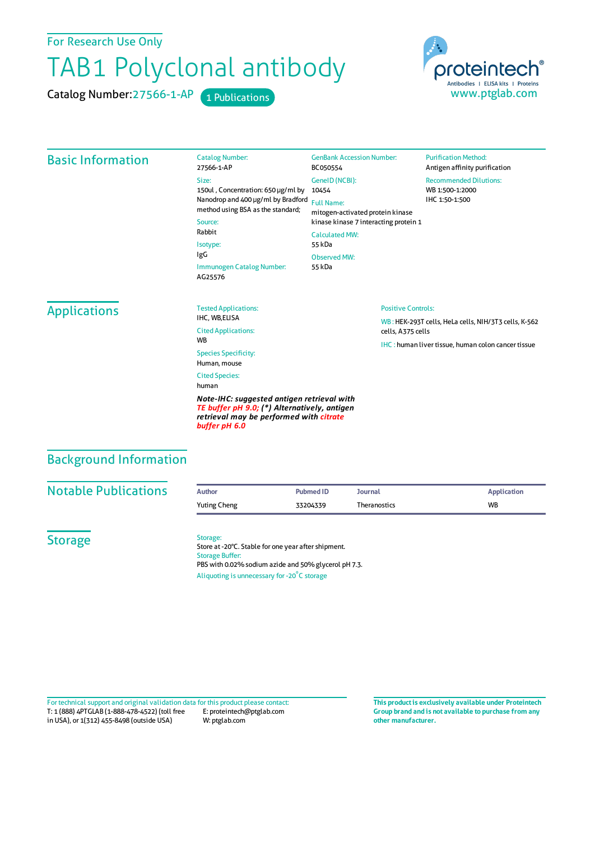For Research Use Only

## TAB1 Polyclonal antibody

Catalog Number: 27566-1-AP 1 Publications



## Basic Information Catalog Number: 27566-1-AP Size: 150ul , Concentration: 650 μg/ml by Nanodrop and 400 μg/ml by Bradford Full Name: method using BSA as the standard; Source: Rabbit Isotype: IgG Immunogen Catalog Number: AG25576 GenBank Accession Number: BC050554 GeneID(NCBI): 10454 mitogen-activated protein kinase kinase kinase 7 interacting protein 1 CalculatedMW: 55 kDa Observed MW: 55 kDa **Purification Method:** Antigen affinity purification Recommended Dilutions: WB 1:500-1:2000 IHC 1:50-1:500 Applications Tested Applications: IHC, WR FLISA Cited Applications: **W<sub>R</sub>** Species Specificity: Human, mouse Cited Species: human *Note-IHC: suggested antigen retrieval with TE buffer pH 9.0; (\*) Alternatively, antigen retrieval may be performed with citrate buffer pH 6.0* Positive Controls: WB : HEK-293T cells, HeLa cells, NIH/3T3 cells, K-562 cells, A375 cells IHC : human liver tissue, human colon cancer tissue Background Information **Notable Publications Author PubmedID Journal Application** Yuting Cheng **33204339** Theranostics WB **Storage** Storage: Store at -20°C. Stable for one year after shipment. Storage Buffer: PBS with 0.02% sodium azide and 50% glycerol pH 7.3. Aliquoting is unnecessary for -20<sup>°</sup>C storage

T: 1 (888) 4PTGLAB (1-888-478-4522) (toll free in USA), or 1(312) 455-8498 (outside USA) E: proteintech@ptglab.com W: ptglab.com Fortechnical support and original validation data forthis product please contact: **This productis exclusively available under Proteintech**

**Group brand and is not available to purchase from any other manufacturer.**